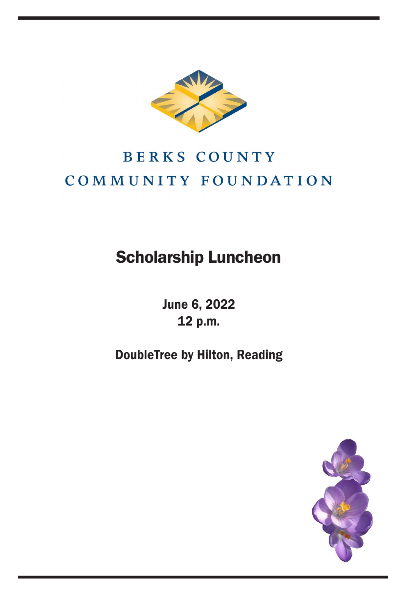

## **BERKS COUNTY** COMMUNITY FOUNDATION

## Scholarship Luncheon

June 6, 2022 12 p.m.

DoubleTree by Hilton, Reading

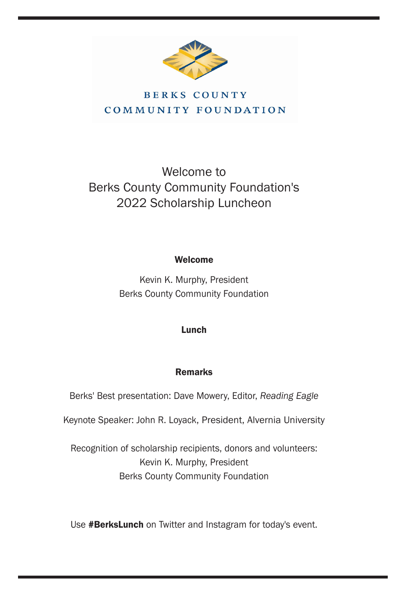

## **BERKS COUNTY** COMMUNITY FOUNDATION

## Welcome to Berks County Community Foundation's 2022 Scholarship Luncheon

### Welcome

Kevin K. Murphy, President Berks County Community Foundation

## Lunch

## Remarks

Berks' Best presentation: Dave Mowery, Editor, *Reading Eagle*

Keynote Speaker: John R. Loyack, President, Alvernia University

Recognition of scholarship recipients, donors and volunteers: Kevin K. Murphy, President Berks County Community Foundation

Use #BerksLunch on Twitter and Instagram for today's event.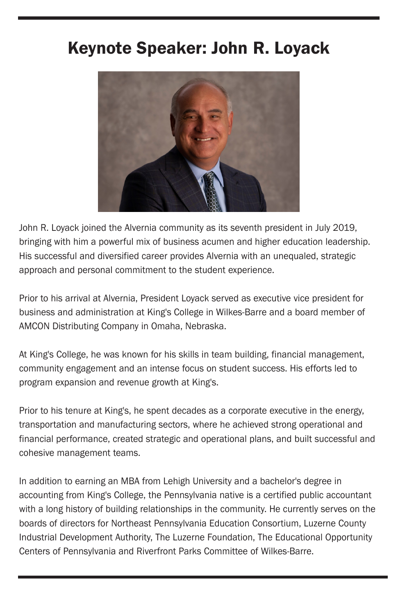## Keynote Speaker: John R. Loyack



John R. Loyack joined the Alvernia community as its seventh president in July 2019, bringing with him a powerful mix of business acumen and higher education leadership. His successful and diversified career provides Alvernia with an unequaled, strategic approach and personal commitment to the student experience.

Prior to his arrival at Alvernia, President Loyack served as executive vice president for business and administration at King's College in Wilkes-Barre and a board member of AMCON Distributing Company in Omaha, Nebraska.

At King's College, he was known for his skills in team building, financial management, community engagement and an intense focus on student success. His efforts led to program expansion and revenue growth at King's.

Prior to his tenure at King's, he spent decades as a corporate executive in the energy, transportation and manufacturing sectors, where he achieved strong operational and financial performance, created strategic and operational plans, and built successful and cohesive management teams.

In addition to earning an MBA from Lehigh University and a bachelor's degree in accounting from King's College, the Pennsylvania native is a certified public accountant with a long history of building relationships in the community. He currently serves on the boards of directors for Northeast Pennsylvania Education Consortium, Luzerne County Industrial Development Authority, The Luzerne Foundation, The Educational Opportunity Centers of Pennsylvania and Riverfront Parks Committee of Wilkes-Barre.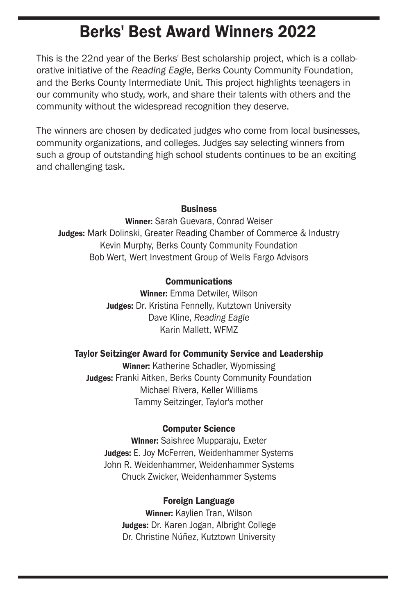## Berks' Best Award Winners 2022

This is the 22nd year of the Berks' Best scholarship project, which is a collaborative initiative of the *Reading Eagle*, Berks County Community Foundation, and the Berks County Intermediate Unit. This project highlights teenagers in our community who study, work, and share their talents with others and the community without the widespread recognition they deserve.

The winners are chosen by dedicated judges who come from local businesses, community organizations, and colleges. Judges say selecting winners from such a group of outstanding high school students continues to be an exciting and challenging task.

#### **Business**

Winner: Sarah Guevara, Conrad Weiser **Judges:** Mark Dolinski, Greater Reading Chamber of Commerce & Industry Kevin Murphy, Berks County Community Foundation Bob Wert, Wert Investment Group of Wells Fargo Advisors

#### Communications

Winner: Emma Detwiler, Wilson Judges: Dr. Kristina Fennelly, Kutztown University Dave Kline, *Reading Eagle* Karin Mallett, WFMZ

#### Taylor Seitzinger Award for Community Service and Leadership

Winner: Katherine Schadler, Wyomissing Judges: Franki Aitken, Berks County Community Foundation Michael Rivera, Keller Williams Tammy Seitzinger, Taylor's mother

#### Computer Science

Winner: Saishree Mupparaju, Exeter Judges: E. Joy McFerren, Weidenhammer Systems John R. Weidenhammer, Weidenhammer Systems Chuck Zwicker, Weidenhammer Systems

#### Foreign Language

Winner: Kaylien Tran, Wilson Judges: Dr. Karen Jogan, Albright College Dr. Christine Núñez, Kutztown University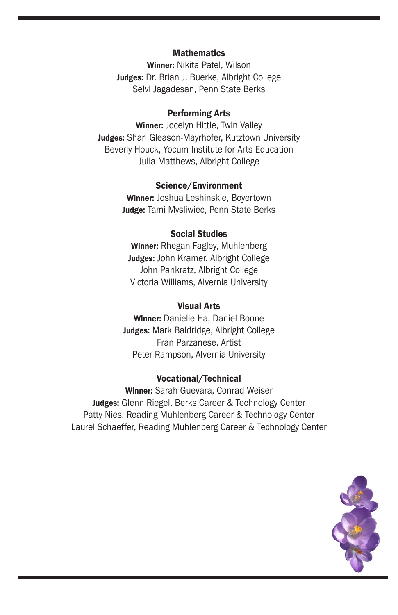#### **Mathematics**

Winner: Nikita Patel, Wilson Judges: Dr. Brian J. Buerke, Albright College Selvi Jagadesan, Penn State Berks

#### Performing Arts

Winner: Jocelyn Hittle, Twin Valley Judges: Shari Gleason-Mayrhofer, Kutztown University Beverly Houck, Yocum Institute for Arts Education Julia Matthews, Albright College

#### Science/Environment

Winner: Joshua Leshinskie, Boyertown Judge: Tami Mysliwiec, Penn State Berks

#### Social Studies

Winner: Rhegan Fagley, Muhlenberg Judges: John Kramer, Albright College John Pankratz, Albright College Victoria Williams, Alvernia University

#### Visual Arts

Winner: Danielle Ha, Daniel Boone Judges: Mark Baldridge, Albright College Fran Parzanese, Artist Peter Rampson, Alvernia University

#### Vocational/Technical

Winner: Sarah Guevara, Conrad Weiser Judges: Glenn Riegel, Berks Career & Technology Center Patty Nies, Reading Muhlenberg Career & Technology Center Laurel Schaeffer, Reading Muhlenberg Career & Technology Center

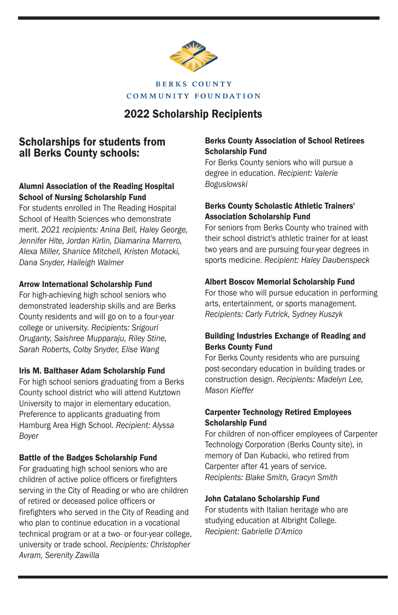

## **COMMUNITY FOUNDATION**

## 2022 Scholarship Recipients

## Scholarships for students from all Berks County schools:

#### Alumni Association of the Reading Hospital School of Nursing Scholarship Fund

For students enrolled in The Reading Hospital School of Health Sciences who demonstrate merit. *2021 recipients: Anina Bell, Haley George, Jennifer Hite, Jordan Kirlin, Diamarina Marrero, Alexa Miller, Shanice Mitchell, Kristen Motacki, Dana Snyder, Haileigh Walmer*

#### Arrow International Scholarship Fund

For high-achieving high school seniors who demonstrated leadership skills and are Berks County residents and will go on to a four-year college or university. *Recipients: Srigouri Oruganty, Saishree Mupparaju, Riley Stine, Sarah Roberts, Colby Snyder, Elise Wang*

#### Iris M. Balthaser Adam Scholarship Fund

For high school seniors graduating from a Berks County school district who will attend Kutztown University to major in elementary education. Preference to applicants graduating from Hamburg Area High School. *Recipient: Alyssa Boyer*

#### Battle of the Badges Scholarship Fund

For graduating high school seniors who are children of active police officers or firefighters serving in the City of Reading or who are children of retired or deceased police officers or firefighters who served in the City of Reading and who plan to continue education in a vocational technical program or at a two- or four-year college, university or trade school. *Recipients: Christopher Avram, Serenity Zawilla*

#### Berks County Association of School Retirees Scholarship Fund

For Berks County seniors who will pursue a degree in education. *Recipient: Valerie Boguslowski*

#### Berks County Scholastic Athletic Trainers' Association Scholarship Fund

For seniors from Berks County who trained with their school district's athletic trainer for at least two years and are pursuing four-year degrees in sports medicine. *Recipient: Haley Daubenspeck*

#### Albert Boscov Memorial Scholarship Fund

For those who will pursue education in performing arts, entertainment, or sports management. *Recipients: Carly Futrick, Sydney Kuszyk*

#### Building Industries Exchange of Reading and Berks County Fund

For Berks County residents who are pursuing post-secondary education in building trades or construction design. *Recipients: Madelyn Lee, Mason Kieffer*

#### Carpenter Technology Retired Employees Scholarship Fund

For children of non-officer employees of Carpenter Technology Corporation (Berks County site), in memory of Dan Kubacki, who retired from Carpenter after 41 years of service. *Recipients: Blake Smith, Gracyn Smith*

#### John Catalano Scholarship Fund

For students with Italian heritage who are studying education at Albright College. *Recipient: Gabrielle D'Amico*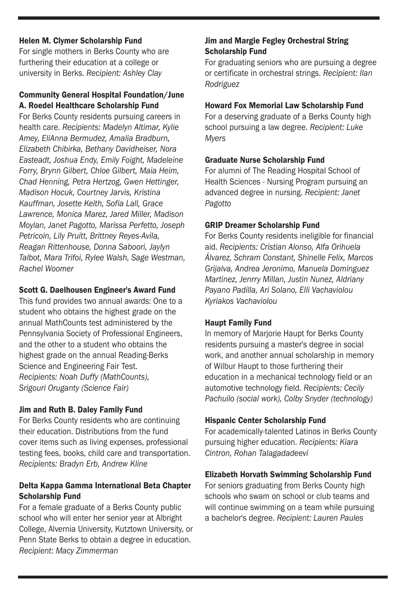#### Helen M. Clymer Scholarship Fund

For single mothers in Berks County who are furthering their education at a college or university in Berks. *Recipient: Ashley Clay*

#### Community General Hospital Foundation/June A. Roedel Healthcare Scholarship Fund

For Berks County residents pursuing careers in health care. *Recipients: Madelyn Altimar, Kylie Amey, EliAnna Bermudez, Amalia Bradburn, Elizabeth Chibirka, Bethany Davidheiser, Nora Easteadt, Joshua Endy, Emily Foight, Madeleine Forry, Brynn Gilbert, Chloe Gilbert, Maia Heim, Chad Henning, Petra Hertzog, Gwen Hettinger, Madison Hocuk, Courtney Jarvis, Kristina Kauffman, Josette Keith, Sofia Lall, Grace Lawrence, Monica Marez, Jared Miller, Madison Moylan, Janet Pagotto, Marissa Perfetto, Joseph Petricoin, Lily Pruitt, Brittney Reyes-Avila, Reagan Rittenhouse, Donna Saboori, Jaylyn Talbot, Mara Trifoi, Rylee Walsh, Sage Westman, Rachel Woomer*

#### Scott G. Daelhousen Engineer's Award Fund

This fund provides two annual awards: One to a student who obtains the highest grade on the annual MathCounts test administered by the Pennsylvania Society of Professional Engineers, and the other to a student who obtains the highest grade on the annual Reading-Berks Science and Engineering Fair Test. *Recipients: Noah Duffy (MathCounts), Srigouri Oruganty (Science Fair)*

#### Jim and Ruth B. Daley Family Fund

For Berks County residents who are continuing their education. Distributions from the fund cover items such as living expenses, professional testing fees, books, child care and transportation. *Recipients: Bradyn Erb, Andrew Kline*

#### Delta Kappa Gamma International Beta Chapter Scholarship Fund

For a female graduate of a Berks County public school who will enter her senior year at Albright College, Alvernia University, Kutztown University, or Penn State Berks to obtain a degree in education. *Recipient: Macy Zimmerman*

#### Jim and Margie Fegley Orchestral String Scholarship Fund

For graduating seniors who are pursuing a degree or certificate in orchestral strings. *Recipient: Ilan Rodriguez*

#### Howard Fox Memorial Law Scholarship Fund

For a deserving graduate of a Berks County high school pursuing a law degree. *Recipient: Luke Myers*

#### Graduate Nurse Scholarship Fund

For alumni of The Reading Hospital School of Health Sciences - Nursing Program pursuing an advanced degree in nursing. *Recipient: Janet Pagotto*

#### GRIP Dreamer Scholarship Fund

For Berks County residents ineligible for financial aid. *Recipients: Cristian Alonso, Alfa Orihuela Álvarez, Schram Constant, Shinelle Felix, Marcos Grijalva, Andrea Jeronimo, Manuela Dominguez Martinez, Jenrry Millan, Justin Nunez, Aldriany Payano Padilla, Ari Solano, Elli Vachaviolou Kyriakos Vachaviolou*

#### Haupt Family Fund

In memory of Marjorie Haupt for Berks County residents pursuing a master's degree in social work, and another annual scholarship in memory of Wilbur Haupt to those furthering their education in a mechanical technology field or an automotive technology field. *Recipients: Cecily Pachuilo (social work), Colby Snyder (technology)*

#### Hispanic Center Scholarship Fund

For academically-talented Latinos in Berks County pursuing higher education. *Recipients: Kiara Cintron, Rohan Talagadadeevi*

#### Elizabeth Horvath Swimming Scholarship Fund

For seniors graduating from Berks County high schools who swam on school or club teams and will continue swimming on a team while pursuing a bachelor's degree. *Recipient: Lauren Paules*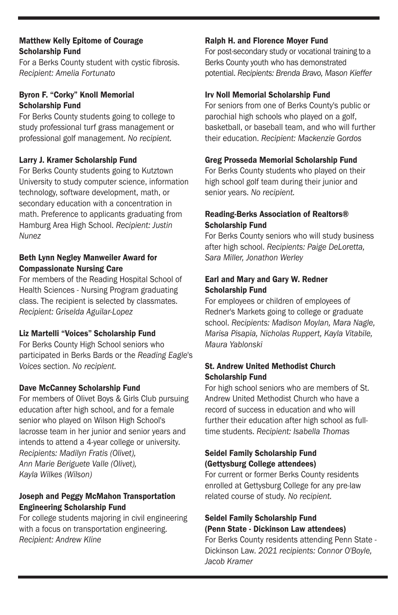#### Matthew Kelly Epitome of Courage Scholarship Fund

For a Berks County student with cystic fibrosis. *Recipient: Amelia Fortunato*

#### Byron F. "Corky" Knoll Memorial Scholarship Fund

For Berks County students going to college to study professional turf grass management or professional golf management. *No recipient.*

#### Larry J. Kramer Scholarship Fund

For Berks County students going to Kutztown University to study computer science, information technology, software development, math, or secondary education with a concentration in math. Preference to applicants graduating from Hamburg Area High School. *Recipient: Justin Nunez*

#### Beth Lynn Negley Manweiler Award for Compassionate Nursing Care

For members of the Reading Hospital School of Health Sciences - Nursing Program graduating class. The recipient is selected by classmates. *Recipient: Griselda Aguilar-Lopez*

#### Liz Martelli "Voices" Scholarship Fund

For Berks County High School seniors who participated in Berks Bards or the *Reading Eagle*'s *Voices* section. *No recipient.*

#### Dave McCanney Scholarship Fund

For members of Olivet Boys & Girls Club pursuing education after high school, and for a female senior who played on Wilson High School's lacrosse team in her junior and senior years and intends to attend a 4-year college or university. *Recipients: Madilyn Fratis (Olivet), Ann Marie Beriguete Valle (Olivet), Kayla Wilkes (Wilson)*

#### Joseph and Peggy McMahon Transportation Engineering Scholarship Fund

For college students majoring in civil engineering with a focus on transportation engineering. *Recipient: Andrew Kline*

#### Ralph H. and Florence Moyer Fund

For post-secondary study or vocational training to a Berks County youth who has demonstrated potential. *Recipients: Brenda Bravo, Mason Kieffer*

#### Irv Noll Memorial Scholarship Fund

For seniors from one of Berks County's public or parochial high schools who played on a golf, basketball, or baseball team, and who will further their education. *Recipient: Mackenzie Gordos*

#### Greg Prosseda Memorial Scholarship Fund

For Berks County students who played on their high school golf team during their junior and senior years. *No recipient.*

#### Reading-Berks Association of Realtors® Scholarship Fund

For Berks County seniors who will study business after high school. *Recipients: Paige DeLoretta, Sara Miller, Jonathon Werley*

#### Earl and Mary and Gary W. Redner Scholarship Fund

For employees or children of employees of Redner's Markets going to college or graduate school. *Recipients: Madison Moylan, Mara Nagle, Marisa Pisapia, Nicholas Ruppert, Kayla Vitabile, Maura Yablonski*

#### St. Andrew United Methodist Church Scholarship Fund

For high school seniors who are members of St. Andrew United Methodist Church who have a record of success in education and who will further their education after high school as fulltime students. *Recipient: Isabella Thomas*

#### Seidel Family Scholarship Fund (Gettysburg College attendees)

For current or former Berks County residents enrolled at Gettysburg College for any pre-law related course of study. *No recipient.*

#### Seidel Family Scholarship Fund (Penn State - Dickinson Law attendees)

For Berks County residents attending Penn State - Dickinson Law. *2021 recipients: Connor O'Boyle, Jacob Kramer*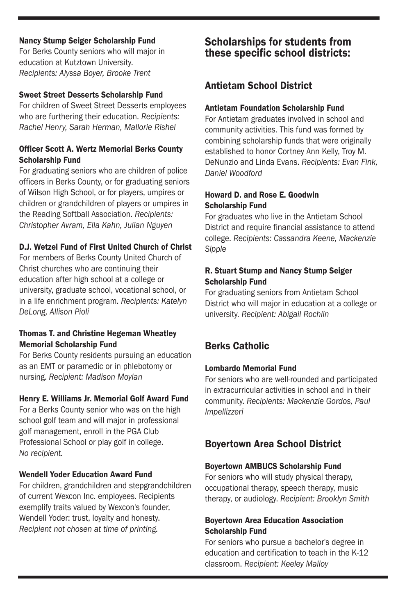#### Nancy Stump Seiger Scholarship Fund

For Berks County seniors who will major in education at Kutztown University. *Recipients: Alyssa Boyer, Brooke Trent*

#### Sweet Street Desserts Scholarship Fund

For children of Sweet Street Desserts employees who are furthering their education. *Recipients: Rachel Henry, Sarah Herman, Mallorie Rishel*

#### Officer Scott A. Wertz Memorial Berks County Scholarship Fund

For graduating seniors who are children of police officers in Berks County, or for graduating seniors of Wilson High School, or for players, umpires or children or grandchildren of players or umpires in the Reading Softball Association. *Recipients: Christopher Avram, Ella Kahn, Julian Nguyen*

#### D.J. Wetzel Fund of First United Church of Christ

For members of Berks County United Church of Christ churches who are continuing their education after high school at a college or university, graduate school, vocational school, or in a life enrichment program. *Recipients: Katelyn DeLong, Allison Pioli*

#### Thomas T. and Christine Hegeman Wheatley Memorial Scholarship Fund

For Berks County residents pursuing an education as an EMT or paramedic or in phlebotomy or nursing. *Recipient: Madison Moylan*

#### Henry E. Williams Jr. Memorial Golf Award Fund

For a Berks County senior who was on the high school golf team and will major in professional golf management, enroll in the PGA Club Professional School or play golf in college. *No recipient.*

#### Wendell Yoder Education Award Fund

For children, grandchildren and stepgrandchildren of current Wexcon Inc. employees. Recipients exemplify traits valued by Wexcon's founder, Wendell Yoder: trust, loyalty and honesty. *Recipient not chosen at time of printing.*

## Scholarships for students from these specific school districts:

## Antietam School District

#### Antietam Foundation Scholarship Fund

For Antietam graduates involved in school and community activities. This fund was formed by combining scholarship funds that were originally established to honor Cortney Ann Kelly, Troy M. DeNunzio and Linda Evans. *Recipients: Evan Fink, Daniel Woodford*

#### Howard D. and Rose E. Goodwin Scholarship Fund

For graduates who live in the Antietam School District and require financial assistance to attend college. *Recipients: Cassandra Keene, Mackenzie Sipple*

#### R. Stuart Stump and Nancy Stump Seiger Scholarship Fund

For graduating seniors from Antietam School District who will major in education at a college or university. *Recipient: Abigail Rochlin*

## Berks Catholic

#### Lombardo Memorial Fund

For seniors who are well-rounded and participated in extracurricular activities in school and in their community. *Recipients: Mackenzie Gordos, Paul Impellizzeri*

## Boyertown Area School District

#### Boyertown AMBUCS Scholarship Fund

For seniors who will study physical therapy, occupational therapy, speech therapy, music therapy, or audiology. *Recipient: Brooklyn Smith*

#### Boyertown Area Education Association Scholarship Fund

For seniors who pursue a bachelor's degree in education and certification to teach in the K-12 classroom. *Recipient: Keeley Malloy*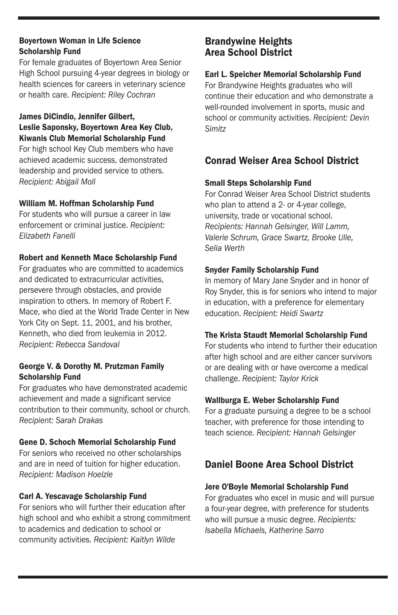#### Boyertown Woman in Life Science Scholarship Fund

For female graduates of Boyertown Area Senior High School pursuing 4-year degrees in biology or health sciences for careers in veterinary science or health care. *Recipient: Riley Cochran*

#### James DiCindio, Jennifer Gilbert, Leslie Saponsky, Boyertown Area Key Club, Kiwanis Club Memorial Scholarship Fund

For high school Key Club members who have achieved academic success, demonstrated leadership and provided service to others. *Recipient: Abigail Moll*

#### William M. Hoffman Scholarship Fund

For students who will pursue a career in law enforcement or criminal justice. *Recipient: Elizabeth Fanelli*

### Robert and Kenneth Mace Scholarship Fund

For graduates who are committed to academics and dedicated to extracurricular activities, persevere through obstacles, and provide inspiration to others. In memory of Robert F. Mace, who died at the World Trade Center in New York City on Sept. 11, 2001, and his brother, Kenneth, who died from leukemia in 2012. *Recipient: Rebecca Sandoval*

#### George V. & Dorothy M. Prutzman Family Scholarship Fund

For graduates who have demonstrated academic achievement and made a significant service contribution to their community, school or church. *Recipient: Sarah Drakas*

## Gene D. Schoch Memorial Scholarship Fund

For seniors who received no other scholarships and are in need of tuition for higher education. *Recipient: Madison Hoelzle*

## Carl A. Yescavage Scholarship Fund

For seniors who will further their education after high school and who exhibit a strong commitment to academics and dedication to school or community activities. *Recipient: Kaitlyn Wilde*

## Brandywine Heights Area School District

### Earl L. Speicher Memorial Scholarship Fund

For Brandywine Heights graduates who will continue their education and who demonstrate a well-rounded involvement in sports, music and school or community activities. *Recipient: Devin Simitz*

## Conrad Weiser Area School District

### Small Steps Scholarship Fund

For Conrad Weiser Area School District students who plan to attend a 2- or 4-year college, university, trade or vocational school. *Recipients: Hannah Gelsinger, Will Lamm, Valerie Schrum, Grace Swartz, Brooke Ulle, Selia Werth*

### Snyder Family Scholarship Fund

In memory of Mary Jane Snyder and in honor of Roy Snyder, this is for seniors who intend to major in education, with a preference for elementary education. *Recipient: Heidi Swartz* 

## The Krista Staudt Memorial Scholarship Fund

For students who intend to further their education after high school and are either cancer survivors or are dealing with or have overcome a medical challenge. *Recipient: Taylor Krick*

## Wallburga E. Weber Scholarship Fund

For a graduate pursuing a degree to be a school teacher, with preference for those intending to teach science. *Recipient: Hannah Gelsinger*

## Daniel Boone Area School District

## Jere O'Boyle Memorial Scholarship Fund

For graduates who excel in music and will pursue a four-year degree, with preference for students who will pursue a music degree. *Recipients: Isabella Michaels, Katherine Sarro*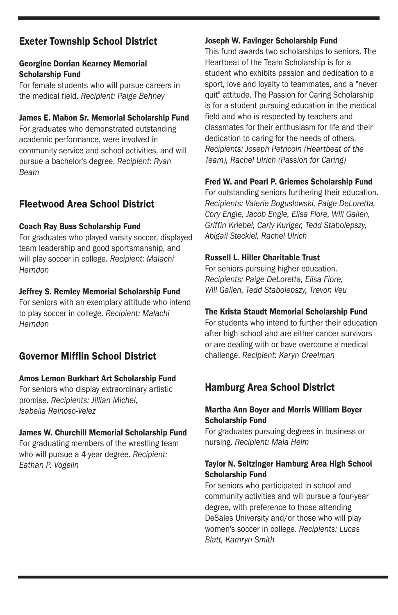## Exeter Township School District

#### Georgine Dorrian Kearney Memorial Scholarship Fund

For female students who will pursue careers in the medical field. *Recipient: Paige Behney*

#### James E. Mabon Sr. Memorial Scholarship Fund

For graduates who demonstrated outstanding academic performance, were involved in community service and school activities, and will pursue a bachelor's degree. *Recipient: Ryan Beam*

## Fleetwood Area School District

#### Coach Ray Buss Scholarship Fund

For graduates who played varsity soccer, displayed team leadership and good sportsmanship, and will play soccer in college. *Recipient: Malachi Herndon*

#### Jeffrey S. Remley Memorial Scholarship Fund

For seniors with an exemplary attitude who intend to play soccer in college. *Recipient: Malachi Herndon*

## Governor Mifflin School District

#### Amos Lemon Burkhart Art Scholarship Fund

For seniors who display extraordinary artistic promise. *Recipients: Jillian Michel, Isabella Reinoso-Velez*

#### James W. Churchill Memorial Scholarship Fund

For graduating members of the wrestling team who will pursue a 4-year degree. *Recipient: Eathan P. Vogelin*

#### Joseph W. Favinger Scholarship Fund

This fund awards two scholarships to seniors. The Heartbeat of the Team Scholarship is for a student who exhibits passion and dedication to a sport, love and loyalty to teammates, and a "never quit" attitude. The Passion for Caring Scholarship is for a student pursuing education in the medical field and who is respected by teachers and classmates for their enthusiasm for life and their dedication to caring for the needs of others. *Recipients: Joseph Petricoin (Heartbeat of the Team), Rachel Ulrich (Passion for Caring)*

#### Fred W. and Pearl P. Griemes Scholarship Fund

For outstanding seniors furthering their education. *Recipients: Valerie Boguslowski, Paige DeLoretta, Cory Engle, Jacob Engle, Elisa Fiore, Will Gallen, Griffin Kriebel, Carly Kuriger, Tedd Stabolepszy, Abigail Steckiel, Rachel Ulrich*

#### Russell L. Hiller Charitable Trust

For seniors pursuing higher education. *Recipients: Paige DeLoretta, Elisa Fiore, Will Gallen, Tedd Stabolepszy, Trevon Veu*

#### The Krista Staudt Memorial Scholarship Fund

For students who intend to further their education after high school and are either cancer survivors or are dealing with or have overcome a medical challenge. *Recipient: Karyn Creelman*

## Hamburg Area School District

#### Martha Ann Boyer and Morris William Boyer Scholarship Fund

For graduates pursuing degrees in business or nursing. *Recipient: Maia Heim*

#### Taylor N. Seitzinger Hamburg Area High School Scholarship Fund

For seniors who participated in school and community activities and will pursue a four-year degree, with preference to those attending DeSales University and/or those who will play women's soccer in college. *Recipients: Lucas Blatt, Kamryn Smith*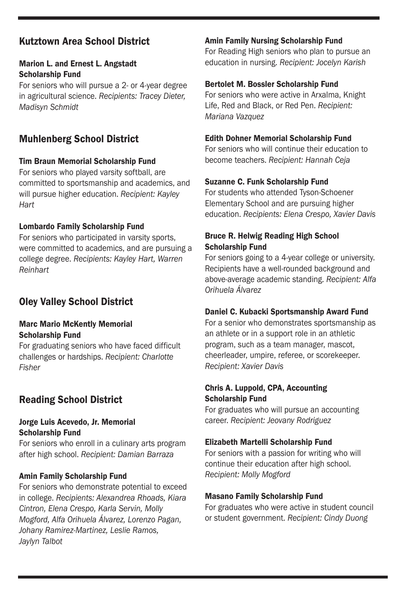## Kutztown Area School District

#### Marion L. and Ernest L. Angstadt Scholarship Fund

For seniors who will pursue a 2- or 4-year degree in agricultural science. *Recipients: Tracey Dieter, Madisyn Schmidt*

## Muhlenberg School District

#### Tim Braun Memorial Scholarship Fund

For seniors who played varsity softball, are committed to sportsmanship and academics, and will pursue higher education. *Recipient: Kayley Hart*

#### Lombardo Family Scholarship Fund

For seniors who participated in varsity sports, were committed to academics, and are pursuing a college degree. *Recipients: Kayley Hart, Warren Reinhart*

## Oley Valley School District

#### Marc Mario McKently Memorial Scholarship Fund

For graduating seniors who have faced difficult challenges or hardships. *Recipient: Charlotte Fisher*

## Reading School District

#### Jorge Luis Acevedo, Jr. Memorial Scholarship Fund

For seniors who enroll in a culinary arts program after high school. *Recipient: Damian Barraza*

#### Amin Family Scholarship Fund

For seniors who demonstrate potential to exceed in college. *Recipients: Alexandrea Rhoads, Kiara Cintron, Elena Crespo, Karla Servin, Molly Mogford, Alfa Orihuela Álvarez, Lorenzo Pagan, Johany Ramirez-Martinez, Leslie Ramos, Jaylyn Talbot*

#### Amin Family Nursing Scholarship Fund

For Reading High seniors who plan to pursue an education in nursing. *Recipient: Jocelyn Karish*

#### Bertolet M. Bossler Scholarship Fund

For seniors who were active in Arxalma, Knight Life, Red and Black, or Red Pen. *Recipient: Mariana Vazquez*

#### Edith Dohner Memorial Scholarship Fund

For seniors who will continue their education to become teachers. *Recipient: Hannah Ceja*

#### Suzanne C. Funk Scholarship Fund

For students who attended Tyson-Schoener Elementary School and are pursuing higher education. *Recipients: Elena Crespo, Xavier Davis*

#### Bruce R. Helwig Reading High School Scholarship Fund

For seniors going to a 4-year college or university. Recipients have a well-rounded background and above-average academic standing. *Recipient: Alfa Orihuela Álvarez*

#### Daniel C. Kubacki Sportsmanship Award Fund

For a senior who demonstrates sportsmanship as an athlete or in a support role in an athletic program, such as a team manager, mascot, cheerleader, umpire, referee, or scorekeeper. *Recipient: Xavier Davis*

#### Chris A. Luppold, CPA, Accounting Scholarship Fund

For graduates who will pursue an accounting career. *Recipient: Jeovany Rodriguez*

#### Elizabeth Martelli Scholarship Fund

For seniors with a passion for writing who will continue their education after high school. *Recipient: Molly Mogford*

#### Masano Family Scholarship Fund

For graduates who were active in student council or student government. *Recipient: Cindy Duong*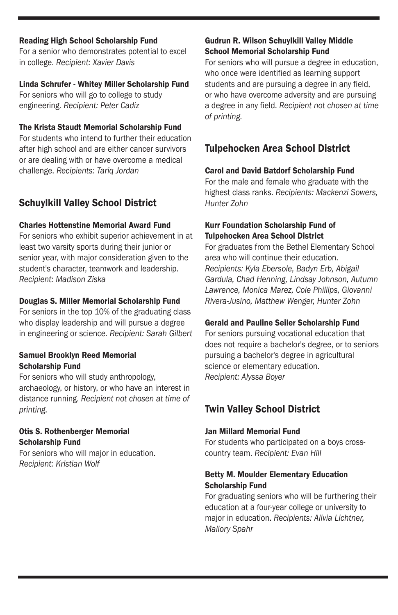#### Reading High School Scholarship Fund

For a senior who demonstrates potential to excel in college. *Recipient: Xavier Davis*

#### Linda Schrufer - Whitey Miller Scholarship Fund

For seniors who will go to college to study engineering. *Recipient: Peter Cadiz*

#### The Krista Staudt Memorial Scholarship Fund

For students who intend to further their education after high school and are either cancer survivors or are dealing with or have overcome a medical challenge. *Recipients: Tariq Jordan*

## Schuylkill Valley School District

#### Charles Hottenstine Memorial Award Fund

For seniors who exhibit superior achievement in at least two varsity sports during their junior or senior year, with major consideration given to the student's character, teamwork and leadership. *Recipient: Madison Ziska*

#### Douglas S. Miller Memorial Scholarship Fund

For seniors in the top 10% of the graduating class who display leadership and will pursue a degree in engineering or science. *Recipient: Sarah Gilbert*

#### Samuel Brooklyn Reed Memorial Scholarship Fund

For seniors who will study anthropology, archaeology, or history, or who have an interest in distance running. *Recipient not chosen at time of printing.*

#### Otis S. Rothenberger Memorial Scholarship Fund

For seniors who will major in education. *Recipient: Kristian Wolf*

#### Gudrun R. Wilson Schuylkill Valley Middle School Memorial Scholarship Fund

For seniors who will pursue a degree in education, who once were identified as learning support students and are pursuing a degree in any field, or who have overcome adversity and are pursuing a degree in any field. *Recipient not chosen at time of printing.*

## Tulpehocken Area School District

### Carol and David Batdorf Scholarship Fund

For the male and female who graduate with the highest class ranks. *Recipients: Mackenzi Sowers, Hunter Zohn*

#### Kurr Foundation Scholarship Fund of Tulpehocken Area School District

For graduates from the Bethel Elementary School area who will continue their education. *Recipients: Kyla Ebersole, Badyn Erb, Abigail Gardula, Chad Henning, Lindsay Johnson, Autumn Lawrence, Monica Marez, Cole Phillips, Giovanni Rivera-Jusino, Matthew Wenger, Hunter Zohn*

## Gerald and Pauline Seiler Scholarship Fund

For seniors pursuing vocational education that does not require a bachelor's degree, or to seniors pursuing a bachelor's degree in agricultural science or elementary education. *Recipient: Alyssa Boyer*

## Twin Valley School District

#### Jan Millard Memorial Fund

For students who participated on a boys crosscountry team. *Recipient: Evan Hill*

#### Betty M. Moulder Elementary Education Scholarship Fund

For graduating seniors who will be furthering their education at a four-year college or university to major in education. *Recipients: Alivia Lichtner, Mallory Spahr*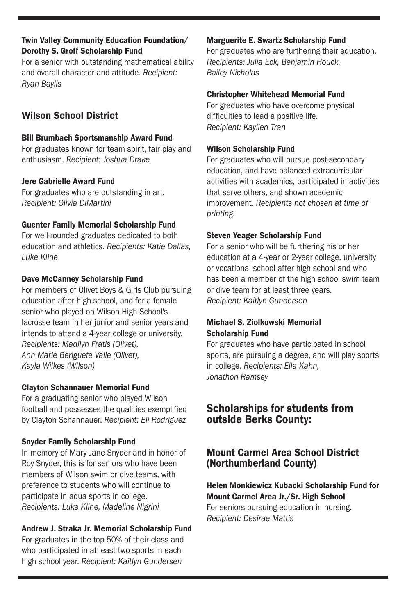#### Twin Valley Community Education Foundation/ Dorothy S. Groff Scholarship Fund

For a senior with outstanding mathematical ability and overall character and attitude. *Recipient: Ryan Baylis*

## Wilson School District

#### Bill Brumbach Sportsmanship Award Fund

For graduates known for team spirit, fair play and enthusiasm. *Recipient: Joshua Drake*

#### Jere Gabrielle Award Fund

For graduates who are outstanding in art. *Recipient: Olivia DiMartini*

#### Guenter Family Memorial Scholarship Fund

For well-rounded graduates dedicated to both education and athletics. *Recipients: Katie Dallas, Luke Kline*

#### Dave McCanney Scholarship Fund

For members of Olivet Boys & Girls Club pursuing education after high school, and for a female senior who played on Wilson High School's lacrosse team in her junior and senior years and intends to attend a 4-year college or university. *Recipients: Madilyn Fratis (Olivet), Ann Marie Beriguete Valle (Olivet), Kayla Wilkes (Wilson)*

#### Clayton Schannauer Memorial Fund

For a graduating senior who played Wilson football and possesses the qualities exemplified by Clayton Schannauer. *Recipient: Eli Rodriguez*

#### Snyder Family Scholarship Fund

In memory of Mary Jane Snyder and in honor of Roy Snyder, this is for seniors who have been members of Wilson swim or dive teams, with preference to students who will continue to participate in aqua sports in college. *Recipients: Luke Kline, Madeline Nigrini*

#### Andrew J. Straka Jr. Memorial Scholarship Fund

For graduates in the top 50% of their class and who participated in at least two sports in each high school year. *Recipient: Kaitlyn Gundersen*

#### Marguerite E. Swartz Scholarship Fund

For graduates who are furthering their education. *Recipients: Julia Eck, Benjamin Houck, Bailey Nicholas*

#### Christopher Whitehead Memorial Fund

For graduates who have overcome physical difficulties to lead a positive life. *Recipient: Kaylien Tran*

#### Wilson Scholarship Fund

For graduates who will pursue post-secondary education, and have balanced extracurricular activities with academics, participated in activities that serve others, and shown academic improvement. *Recipients not chosen at time of printing.*

#### Steven Yeager Scholarship Fund

For a senior who will be furthering his or her education at a 4-year or 2-year college, university or vocational school after high school and who has been a member of the high school swim team or dive team for at least three years. *Recipient: Kaitlyn Gundersen*

#### Michael S. Ziolkowski Memorial Scholarship Fund

For graduates who have participated in school sports, are pursuing a degree, and will play sports in college. *Recipients: Ella Kahn, Jonathon Ramsey*

## Scholarships for students from outside Berks County:

## Mount Carmel Area School District (Northumberland County)

#### Helen Monkiewicz Kubacki Scholarship Fund for Mount Carmel Area Jr./Sr. High School For seniors pursuing education in nursing.

*Recipient: Desirae Mattis*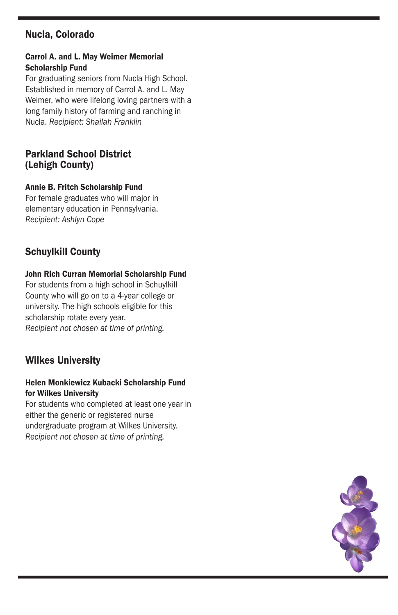## Nucla, Colorado

#### Carrol A. and L. May Weimer Memorial Scholarship Fund

For graduating seniors from Nucla High School. Established in memory of Carrol A. and L. May Weimer, who were lifelong loving partners with a long family history of farming and ranching in Nucla. *Recipient: Shailah Franklin*

#### Parkland School District (Lehigh County)

#### Annie B. Fritch Scholarship Fund

For female graduates who will major in elementary education in Pennsylvania. *Recipient: Ashlyn Cope*

## Schuylkill County

#### John Rich Curran Memorial Scholarship Fund

For students from a high school in Schuylkill County who will go on to a 4-year college or university. The high schools eligible for this scholarship rotate every year. *Recipient not chosen at time of printing.*

## Wilkes University

#### Helen Monkiewicz Kubacki Scholarship Fund for Wilkes University

For students who completed at least one year in either the generic or registered nurse undergraduate program at Wilkes University. *Recipient not chosen at time of printing.*

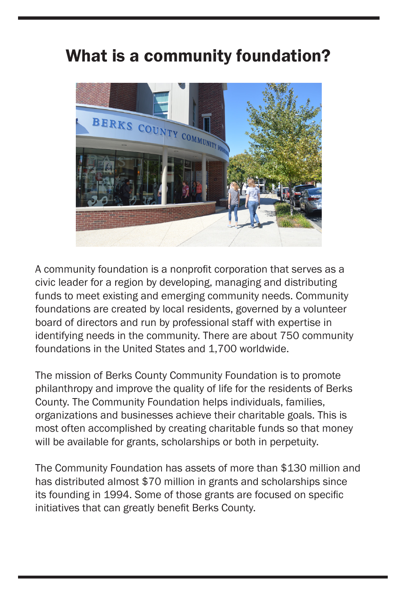## What is a community foundation?



A community foundation is a nonprofit corporation that serves as a civic leader for a region by developing, managing and distributing funds to meet existing and emerging community needs. Community foundations are created by local residents, governed by a volunteer board of directors and run by professional staff with expertise in identifying needs in the community. There are about 750 community foundations in the United States and 1,700 worldwide.

The mission of Berks County Community Foundation is to promote philanthropy and improve the quality of life for the residents of Berks County. The Community Foundation helps individuals, families, organizations and businesses achieve their charitable goals. This is most often accomplished by creating charitable funds so that money will be available for grants, scholarships or both in perpetuity.

The Community Foundation has assets of more than \$130 million and has distributed almost \$70 million in grants and scholarships since its founding in 1994. Some of those grants are focused on specific initiatives that can greatly benefit Berks County.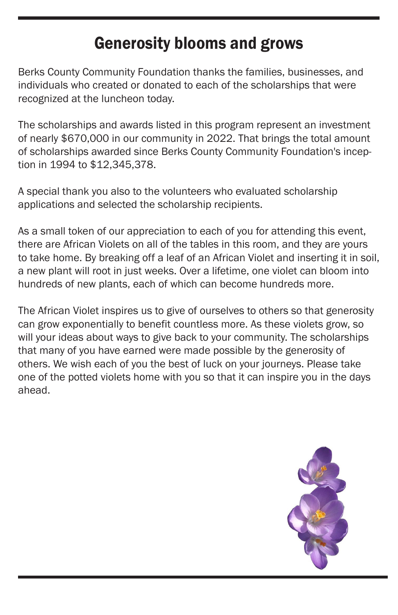## Generosity blooms and grows

Berks County Community Foundation thanks the families, businesses, and individuals who created or donated to each of the scholarships that were recognized at the luncheon today.

The scholarships and awards listed in this program represent an investment of nearly \$670,000 in our community in 2022. That brings the total amount of scholarships awarded since Berks County Community Foundation's inception in 1994 to \$12,345,378.

A special thank you also to the volunteers who evaluated scholarship applications and selected the scholarship recipients.

As a small token of our appreciation to each of you for attending this event, there are African Violets on all of the tables in this room, and they are yours to take home. By breaking off a leaf of an African Violet and inserting it in soil, a new plant will root in just weeks. Over a lifetime, one violet can bloom into hundreds of new plants, each of which can become hundreds more.

The African Violet inspires us to give of ourselves to others so that generosity can grow exponentially to benefit countless more. As these violets grow, so will your ideas about ways to give back to your community. The scholarships that many of you have earned were made possible by the generosity of others. We wish each of you the best of luck on your journeys. Please take one of the potted violets home with you so that it can inspire you in the days ahead.